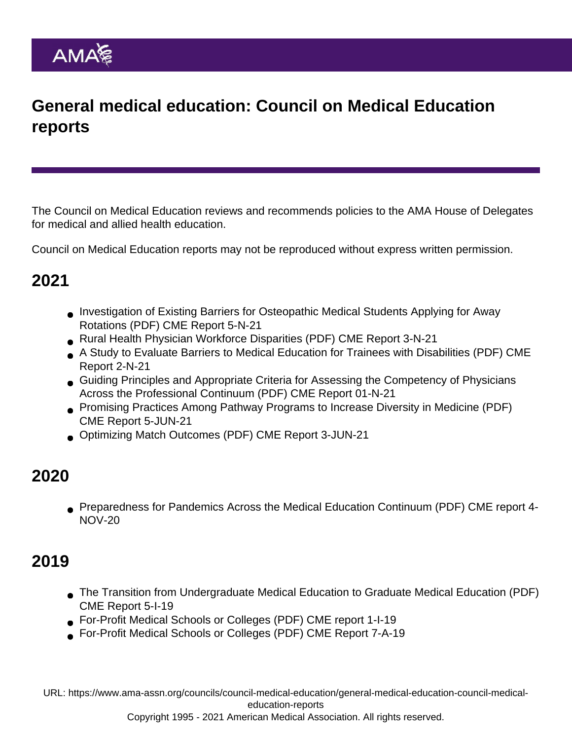## General medical education: Council on Medical Education reports

The Council on Medical Education reviews and recommends policies to the AMA House of Delegates for medical and allied health education.

Council on Medical Education reports may not be reproduced without express written permission.

### 2021

- [Investigation of Existing Barriers for Osteopathic Medical Students Applying for Away](https://www.ama-assn.org/system/files/i21-cme-05.pdf) [Rotations](https://www.ama-assn.org/system/files/i21-cme-05.pdf) (PDF) CME Report 5-N-21
- [Rural Health Physician Workforce Disparities](https://www.ama-assn.org/system/files/i21-cme-03.pdf) (PDF) CME Report 3-N-21
- [A Study to Evaluate Barriers to Medical Education for Trainees with Disabilities](https://www.ama-assn.org/system/files/i21-cme-02.pdf) (PDF) CME Report 2-N-21
- [Guiding Principles and Appropriate Criteria for Assessing the Competency of Physicians](https://www.ama-assn.org/system/files/n21-cme-01.pdf) [Across the Professional Continuum](https://www.ama-assn.org/system/files/n21-cme-01.pdf) (PDF) CME Report 01-N-21
- [Promising Practices Among Pathway Programs to Increase Diversity in Medicine](https://www.ama-assn.org/system/files/a21-cme-05.pdf) (PDF) CME Report 5-JUN-21
- [Optimizing Match Outcomes](https://www.ama-assn.org/system/files/a21-cme-03.pdf) (PDF) CME Report 3-JUN-21

### 2020

[Preparedness for Pandemics Across the Medical Education Continuum](https://www.ama-assn.org/system/files/cme-report-4-i20-annotated.pdf) (PDF) CME report 4- NOV-20

# 2019

- [The Transition from Undergraduate Medical Education to Graduate Medical Education](https://www.ama-assn.org/system/files/2020-04/cme-report-5-i19-annotated.pdf) (PDF) CME Report 5-I-19
- [For-Profit Medical Schools or Colleges](https://www.ama-assn.org/system/files/2020-04/cme-report-1-i19-annotated.pdf) (PDF) CME report 1-I-19
- [For-Profit Medical Schools or Colleges](https://www.ama-assn.org/system/files/2019-07/a19-cme-7.pdf) (PDF) CME Report 7-A-19

URL: [https://www.ama-assn.org/councils/council-medical-education/general-medical-education-council-medical](https://www.ama-assn.org/councils/council-medical-education/general-medical-education-council-medical-education-reports)[education-reports](https://www.ama-assn.org/councils/council-medical-education/general-medical-education-council-medical-education-reports)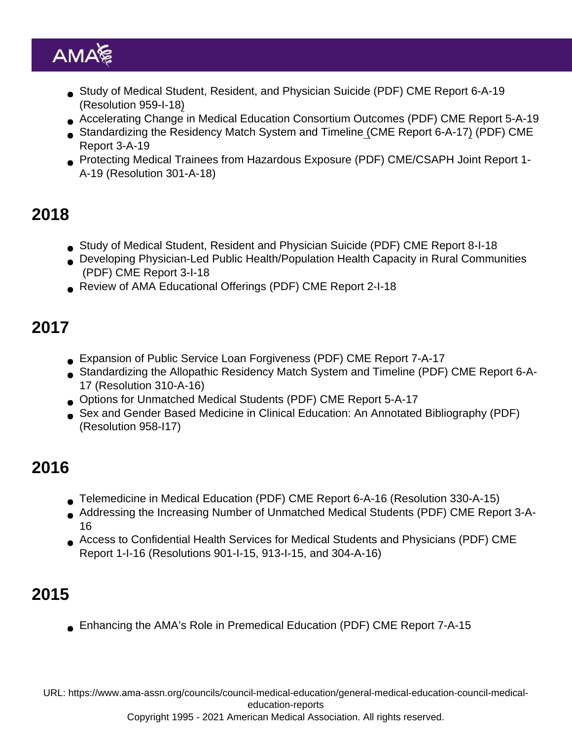- [Study of Medical Student, Resident, and Physician Suicide](https://www.ama-assn.org/system/files/2019-07/a19-cme-6.pdf) (PDF) CME Report 6-A-19 (Resolution 959-I-18)
- [Accelerating Change in Medical Education Consortium Outcomes](https://www.ama-assn.org/system/files/2019-07/a19-cme-5.pdf) (PDF) CME Report 5-A-19
- [Standardizing the Residency Match System and Timeline](https://www.ama-assn.org/system/files/2019-07/a19-cme-3.pdf) (CME Report 6-A-17) (PDF) CME Report 3-A-19
- [Protecting Medical Trainees from Hazardous Exposure](https://www.ama-assn.org/system/files/2019-07/a19-cme-csaph-joint-report-1.pdf) (PDF) CME/CSAPH Joint Report 1- A-19 (Resolution 301-A-18)

#### 2018

- [Study of Medical Student, Resident and Physician Suicide](https://www.ama-assn.org/system/files/2018-11/i18-cme-8.pdf) (PDF) CME Report 8-I-18
- [Developing Physician-Led Public Health/Population Health Capacity in Rural Communities](https://www.ama-assn.org/system/files/2018-11/i18-cme-3.pdf) (PDF) CME Report 3-I-18
- [Review of AMA Educational Offerings](https://www.ama-assn.org/system/files/2018-11/i18-cme-2.pdf) (PDF) CME Report 2-I-18

# 2017

- [Expansion of Public Service Loan Forgiveness](https://www.ama-assn.org/system/files/2021-06/a17-cme-07.pdf) (PDF) CME Report 7-A-17
- [Standardizing the Allopathic Residency Match System and Timeline](https://www.ama-assn.org/system/files/2021-06/a17-cme-06.pdf) (PDF) CME Report 6-A-17 (Resolution 310-A-16)
- [Options for Unmatched Medical Students](https://www.ama-assn.org/system/files/2021-06/a17-cme-05.pdf) (PDF) CME Report 5-A-17
- [Sex and Gender Based Medicine in Clinical Education: An Annotated Bibliography](https://www.ama-assn.org/sites/ama-assn.org/files/corp/media-browser/public/about-ama/councils/Council Reports/council-on-medical-education/sex-gender-based-medicine-bibliography.pdf) (PDF) (Resolution 958-I17)

# 2016

- [Telemedicine in Medical Education](https://www.ama-assn.org/system/files/2021-06/a16-cme-06.pdf) (PDF) CME Report 6-A-16 (Resolution 330-A-15)
- [Addressing the Increasing Number of Unmatched Medical Students](https://www.ama-assn.org/system/files/2021-06/a16-cme-03.pdf) (PDF) CME Report 3-A-16
- [Access to Confidential Health Services for Medical Students and Physicians](https://www.ama-assn.org/sites/ama-assn.org/files/corp/media-browser/public/about-ama/councils/Council Reports/council-on-medical-education/i16-cme-report-1.pdf) (PDF) CME Report 1-I-16 (Resolutions 901-I-15, 913-I-15, and 304-A-16)

# 2015

[Enhancing the AMA's Role in Premedical Education](https://www.ama-assn.org/sites/ama-assn.org/files/corp/media-browser/public/about-ama/councils/Council Reports/council-on-medical-education/cme-report-07-a-15-premed-final.pdf) (PDF) CME Report 7-A-15

URL: [https://www.ama-assn.org/councils/council-medical-education/general-medical-education-council-medical](https://www.ama-assn.org/councils/council-medical-education/general-medical-education-council-medical-education-reports)[education-reports](https://www.ama-assn.org/councils/council-medical-education/general-medical-education-council-medical-education-reports)